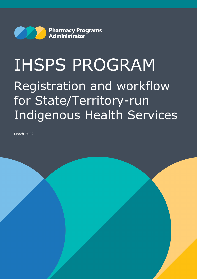

# IHSPS PROGRAM Registration and workflow for State/Territory-run Indigenous Health Services

March 2022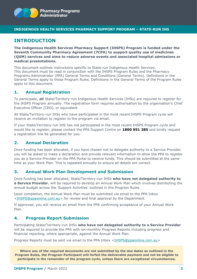

#### **INDIGENOUS HEALTH SERVICES PHARMACY SUPPORT PROGRAM – STATE-RUN IHS**

# **INTRODUCTION**

**The Indigenous Health Services Pharmacy Support (IHSPS) Program is funded under the Seventh Community Pharmacy Agreement (7CPA) to support quality use of medicines (QUM) services and aims to reduce adverse events and associated hospital admissions or medical presentations.** 

This document outlines instructions specific to State-run Indigenous Health Services. This document must be read in conjunction with the IHSPS Program Rules and the Pharmacy Programs Administrator (PPA) General Terms and Conditions (General Terms). Definitions in the General Terms apply to these Program Rules. Definitions in the General Terms of the Program Rules apply to this document.

### **1. Annual Registration**

To participate, **all** State/Territory-run Indigenous Health Services (IHSs) are required to register for the IHSPS Program annually. The registration form requires authorisation by the organisation's Chief Executive Officer (CEO), or equivalent.

All State/Territory-run IHSs who have participated in the most recent IHSPS Program cycle will receive an invitation to register to the program via email.

If your State/Territory-run IHS has not participated in the most recent IHSPS Program cycle and would like to register, please contact the PPA Support Centre on **1800 951 285** and kindly request a registration link be generated for you.

## **2. Annual Declaration**

Once funding has been allocated, if you have chosen not to delegate authority to a Service Provider, you will be asked to make a declaration and provide relevant information to allow the PPA to register you as a Service Provider on the PPA Portal to receive funds. This should be submitted at the same time as your Work Plan. This is repeated annually to ensure all details are correct.

#### **3. Annual Work Plan Development and Submission**

Once funding has been allocated, State/Territory-run IHSs **who have not delegated authority to a Service Provider**, will be required to develop an Annual Work Plan which involves distributing the annual budget across the 'Support Activities' outlined in the Program Rules.

Upon completion, the Annual Work Plan must be submitted via email to the PPA Inbox [<IHSPS@ppaonline.com.au>](mailto:IHSPS@ppaonline.com.au) for review and final approval by the Department.

If approved, you will receive an email from the PPA confirming acceptance of your Annual Work Plan.

#### **4. Progress Report Submission**

Participating State/Territory-run IHSs **who have not delegated authority to a Service Provider** will be required to provide the PPA with six-monthly Progress Reports including progress and financial reporting, where appropriate, against the Annual Work Plan.

Progress Reports must be sent via email to the PPA Inbox [<IHSPS@ppaonline.com.au>](mailto:IHSPS@ppaonline.com.au)

**Where any of the required documents are not submitted by the due dates as outlined in the Program Rules, the Program Participant will forfeit the deliverable payment and not be eligible to participate in the remainder of the program cycle, unless there are exceptional circumstances.**